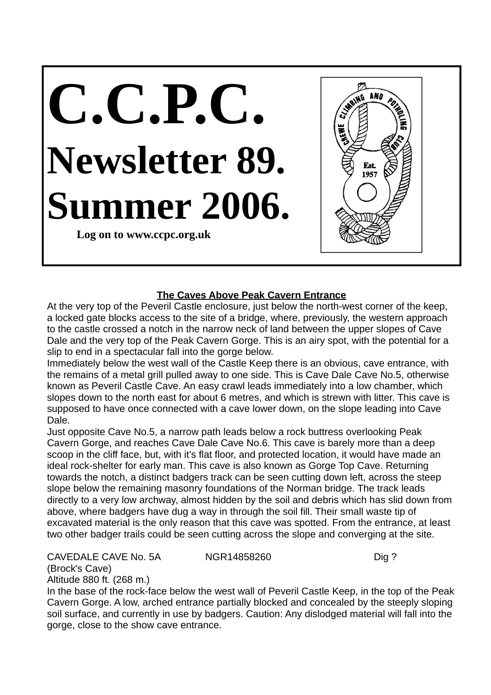## **C.C.P.C. Newsletter 89. Summer 2006.**

**Log on to www.ccpc.org.uk**



## **The Caves Above Peak Cavern Entrance**

At the very top of the Peveril Castle enclosure, just below the north-west corner of the keep, a locked gate blocks access to the site of a bridge, where, previously, the western approach to the castle crossed a notch in the narrow neck of land between the upper slopes of Cave Dale and the very top of the Peak Cavern Gorge. This is an airy spot, with the potential for a slip to end in a spectacular fall into the gorge below.

Immediately below the west wall of the Castle Keep there is an obvious, cave entrance, with the remains of a metal grill pulled away to one side. This is Cave Dale Cave No.5, otherwise known as Peveril Castle Cave. An easy crawl leads immediately into a low chamber, which slopes down to the north east for about 6 metres, and which is strewn with litter. This cave is supposed to have once connected with a cave lower down, on the slope leading into Cave Dale.

Just opposite Cave No.5, a narrow path leads below a rock buttress overlooking Peak Cavern Gorge, and reaches Cave Dale Cave No.6. This cave is barely more than a deep scoop in the cliff face, but, with it's flat floor, and protected location, it would have made an ideal rock-shelter for early man. This cave is also known as Gorge Top Cave. Returning towards the notch, a distinct badgers track can be seen cutting down left, across the steep slope below the remaining masonry foundations of the Norman bridge. The track leads directly to a very low archway, almost hidden by the soil and debris which has slid down from above, where badgers have dug a way in through the soil fill. Their small waste tip of excavated material is the only reason that this cave was spotted. From the entrance, at least two other badger trails could be seen cutting across the slope and converging at the site.

## CAVEDALE CAVE No. 5A NGR14858260 Dig?

(Brock's Cave)

Altitude 880 ft. (268 m.)

In the base of the rock-face below the west wall of Peveril Castle Keep, in the top of the Peak Cavern Gorge. A low, arched entrance partially blocked and concealed by the steeply sloping soil surface, and currently in use by badgers. Caution: Any dislodged material will fall into the gorge, close to the show cave entrance.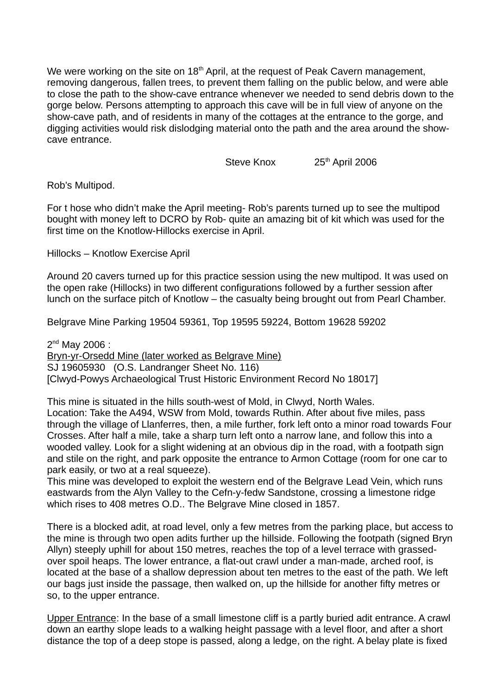We were working on the site on 18<sup>th</sup> April, at the request of Peak Cavern management, removing dangerous, fallen trees, to prevent them falling on the public below, and were able to close the path to the show-cave entrance whenever we needed to send debris down to the gorge below. Persons attempting to approach this cave will be in full view of anyone on the show-cave path, and of residents in many of the cottages at the entrance to the gorge, and digging activities would risk dislodging material onto the path and the area around the showcave entrance.

Steve Knox 25<sup>th</sup> April 2006

Rob's Multipod.

For t hose who didn't make the April meeting- Rob's parents turned up to see the multipod bought with money left to DCRO by Rob- quite an amazing bit of kit which was used for the first time on the Knotlow-Hillocks exercise in April.

Hillocks – Knotlow Exercise April

Around 20 cavers turned up for this practice session using the new multipod. It was used on the open rake (Hillocks) in two different configurations followed by a further session after lunch on the surface pitch of Knotlow – the casualty being brought out from Pearl Chamber.

Belgrave Mine Parking 19504 59361, Top 19595 59224, Bottom 19628 59202

2<sup>nd</sup> May 2006 : Bryn-yr-Orsedd Mine (later worked as Belgrave Mine) SJ 19605930 (O.S. Landranger Sheet No. 116) [Clwyd-Powys Archaeological Trust Historic Environment Record No 18017]

This mine is situated in the hills south-west of Mold, in Clwyd, North Wales. Location: Take the A494, WSW from Mold, towards Ruthin. After about five miles, pass through the village of Llanferres, then, a mile further, fork left onto a minor road towards Four Crosses. After half a mile, take a sharp turn left onto a narrow lane, and follow this into a wooded valley. Look for a slight widening at an obvious dip in the road, with a footpath sign and stile on the right, and park opposite the entrance to Armon Cottage (room for one car to park easily, or two at a real squeeze).

This mine was developed to exploit the western end of the Belgrave Lead Vein, which runs eastwards from the Alyn Valley to the Cefn-y-fedw Sandstone, crossing a limestone ridge which rises to 408 metres O.D.. The Belgrave Mine closed in 1857.

There is a blocked adit, at road level, only a few metres from the parking place, but access to the mine is through two open adits further up the hillside. Following the footpath (signed Bryn Allyn) steeply uphill for about 150 metres, reaches the top of a level terrace with grassedover spoil heaps. The lower entrance, a flat-out crawl under a man-made, arched roof, is located at the base of a shallow depression about ten metres to the east of the path. We left our bags just inside the passage, then walked on, up the hillside for another fifty metres or so, to the upper entrance.

Upper Entrance: In the base of a small limestone cliff is a partly buried adit entrance. A crawl down an earthy slope leads to a walking height passage with a level floor, and after a short distance the top of a deep stope is passed, along a ledge, on the right. A belay plate is fixed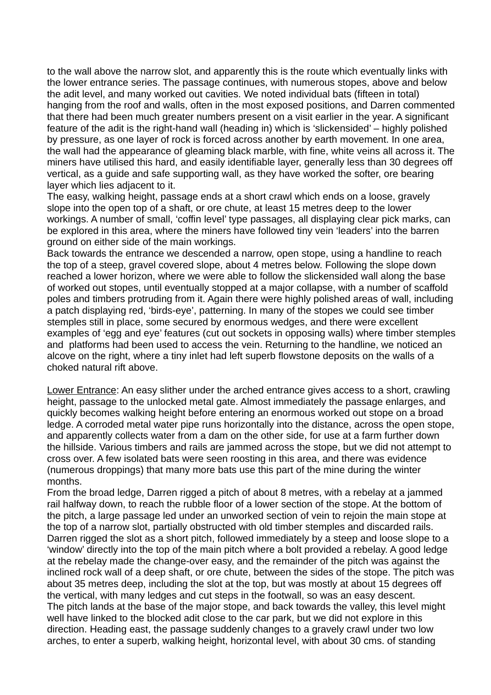to the wall above the narrow slot, and apparently this is the route which eventually links with the lower entrance series. The passage continues, with numerous stopes, above and below the adit level, and many worked out cavities. We noted individual bats (fifteen in total) hanging from the roof and walls, often in the most exposed positions, and Darren commented that there had been much greater numbers present on a visit earlier in the year. A significant feature of the adit is the right-hand wall (heading in) which is 'slickensided' – highly polished by pressure, as one layer of rock is forced across another by earth movement. In one area, the wall had the appearance of gleaming black marble, with fine, white veins all across it. The miners have utilised this hard, and easily identifiable layer, generally less than 30 degrees off vertical, as a guide and safe supporting wall, as they have worked the softer, ore bearing layer which lies adjacent to it.

The easy, walking height, passage ends at a short crawl which ends on a loose, gravely slope into the open top of a shaft, or ore chute, at least 15 metres deep to the lower workings. A number of small, 'coffin level' type passages, all displaying clear pick marks, can be explored in this area, where the miners have followed tiny vein 'leaders' into the barren ground on either side of the main workings.

Back towards the entrance we descended a narrow, open stope, using a handline to reach the top of a steep, gravel covered slope, about 4 metres below. Following the slope down reached a lower horizon, where we were able to follow the slickensided wall along the base of worked out stopes, until eventually stopped at a major collapse, with a number of scaffold poles and timbers protruding from it. Again there were highly polished areas of wall, including a patch displaying red, 'birds-eye', patterning. In many of the stopes we could see timber stemples still in place, some secured by enormous wedges, and there were excellent examples of 'egg and eye' features (cut out sockets in opposing walls) where timber stemples and platforms had been used to access the vein. Returning to the handline, we noticed an alcove on the right, where a tiny inlet had left superb flowstone deposits on the walls of a choked natural rift above.

Lower Entrance: An easy slither under the arched entrance gives access to a short, crawling height, passage to the unlocked metal gate. Almost immediately the passage enlarges, and quickly becomes walking height before entering an enormous worked out stope on a broad ledge. A corroded metal water pipe runs horizontally into the distance, across the open stope, and apparently collects water from a dam on the other side, for use at a farm further down the hillside. Various timbers and rails are jammed across the stope, but we did not attempt to cross over. A few isolated bats were seen roosting in this area, and there was evidence (numerous droppings) that many more bats use this part of the mine during the winter months.

From the broad ledge, Darren rigged a pitch of about 8 metres, with a rebelay at a jammed rail halfway down, to reach the rubble floor of a lower section of the stope. At the bottom of the pitch, a large passage led under an unworked section of vein to rejoin the main stope at the top of a narrow slot, partially obstructed with old timber stemples and discarded rails. Darren rigged the slot as a short pitch, followed immediately by a steep and loose slope to a 'window' directly into the top of the main pitch where a bolt provided a rebelay. A good ledge at the rebelay made the change-over easy, and the remainder of the pitch was against the inclined rock wall of a deep shaft, or ore chute, between the sides of the stope. The pitch was about 35 metres deep, including the slot at the top, but was mostly at about 15 degrees off the vertical, with many ledges and cut steps in the footwall, so was an easy descent. The pitch lands at the base of the major stope, and back towards the valley, this level might well have linked to the blocked adit close to the car park, but we did not explore in this direction. Heading east, the passage suddenly changes to a gravely crawl under two low arches, to enter a superb, walking height, horizontal level, with about 30 cms. of standing